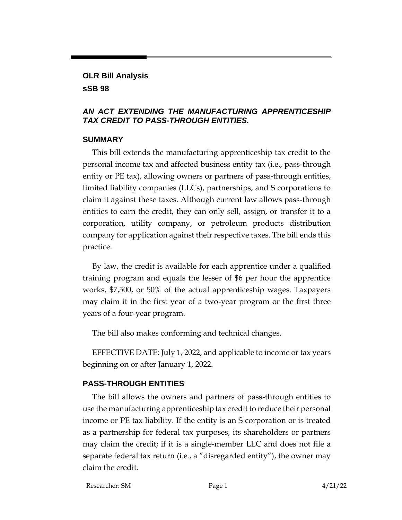# **OLR Bill Analysis**

#### **sSB 98**

#### *AN ACT EXTENDING THE MANUFACTURING APPRENTICESHIP TAX CREDIT TO PASS-THROUGH ENTITIES.*

### **SUMMARY**

This bill extends the manufacturing apprenticeship tax credit to the personal income tax and affected business entity tax (i.e., pass-through entity or PE tax), allowing owners or partners of pass-through entities, limited liability companies (LLCs), partnerships, and S corporations to claim it against these taxes. Although current law allows pass-through entities to earn the credit, they can only sell, assign, or transfer it to a corporation, utility company, or petroleum products distribution company for application against their respective taxes. The bill ends this practice.

By law, the credit is available for each apprentice under a qualified training program and equals the lesser of \$6 per hour the apprentice works, \$7,500, or 50% of the actual apprenticeship wages. Taxpayers may claim it in the first year of a two-year program or the first three years of a four-year program.

The bill also makes conforming and technical changes.

EFFECTIVE DATE: July 1, 2022, and applicable to income or tax years beginning on or after January 1, 2022.

## **PASS-THROUGH ENTITIES**

The bill allows the owners and partners of pass-through entities to use the manufacturing apprenticeship tax credit to reduce their personal income or PE tax liability. If the entity is an S corporation or is treated as a partnership for federal tax purposes, its shareholders or partners may claim the credit; if it is a single-member LLC and does not file a separate federal tax return (i.e., a "disregarded entity"), the owner may claim the credit.